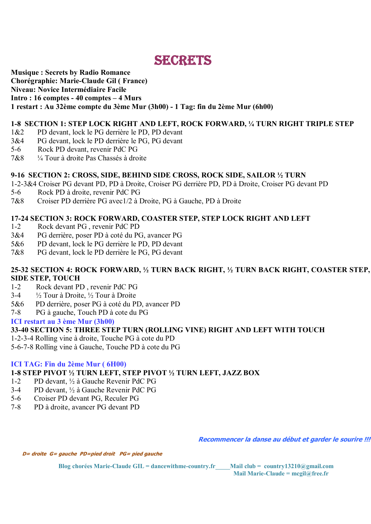## SECRETS

## Musique : Secrets by Radio Romance Chorégraphie: Marie-Claude Gil ( France) Niveau: Novice Intermédiaire Facile Intro : 16 comptes - 40 comptes – 4 Murs 1 restart : Au 32ème compte du 3ème Mur (3h00) - 1 Tag: fin du 2ème Mur (6h00)

## 1-8 SECTION 1: STEP LOCK RIGHT AND LEFT, ROCK FORWARD, ¼ TURN RIGHT TRIPLE STEP

- 1&2 PD devant, lock le PG derrière le PD, PD devant
- 3&4 PG devant, lock le PD derrière le PG, PG devant
- 5-6 Rock PD devant, revenir PdC PG
- 7&8 ¼ Tour à droite Pas Chassés à droite

## 9-16 SECTION 2: CROSS, SIDE, BEHIND SIDE CROSS, ROCK SIDE, SAILOR ½ TURN

- 1-2-3&4 Croiser PG devant PD, PD à Droite, Croiser PG derrière PD, PD à Droite, Croiser PG devant PD
- 5-6 Rock PD à droite, revenir PdC PG
- 7&8 Croiser PD derrière PG avec1/2 à Droite, PG à Gauche, PD à Droite

## 17-24 SECTION 3: ROCK FORWARD, COASTER STEP, STEP LOCK RIGHT AND LEFT

- 1-2 Rock devant PG , revenir PdC PD
- 3&4 PG derrière, poser PD à coté du PG, avancer PG
- 5&6 PD devant, lock le PG derrière le PD, PD devant
- 7&8 PG devant, lock le PD derrière le PG, PG devant

## 25-32 SECTION 4: ROCK FORWARD, ½ TURN BACK RIGHT, ½ TURN BACK RIGHT, COASTER STEP, SIDE STEP, TOUCH

- 1-2 Rock devant PD , revenir PdC PG
- 3-4 ½ Tour à Droite, ½ Tour à Droite
- 5&6 PD derrière, poser PG à coté du PD, avancer PD
- 7-8 PG à gauche, Touch PD à cote du PG

## ICI restart au 3 ème Mur (3h00)

## 33-40 SECTION 5: THREE STEP TURN (ROLLING VINE) RIGHT AND LEFT WITH TOUCH

- 1-2-3-4 Rolling vine à droite, Touche PG à cote du PD
- 5-6-7-8 Rolling vine à Gauche, Touche PD à cote du PG

## ICI TAG: Fin du 2ème Mur ( 6H00)

## 1-8 STEP PIVOT ½ TURN LEFT, STEP PIVOT ½ TURN LEFT, JAZZ BOX

- 1-2 PD devant, ½ à Gauche Revenir PdC PG
- 3-4 PD devant, ½ à Gauche Revenir PdC PG
- 5-6 Croiser PD devant PG, Reculer PG
- 7-8 PD à droite, avancer PG devant PD

Recommencer la danse au début et garder le sourire !!!

D= droite G= gauche PD=pied droit PG= pied gauche

Blog chorées Marie-Claude GIL = dancewithme-country.fr Mail club = country13210@gmail.com Mail Marie-Claude = mcgil@free.fr